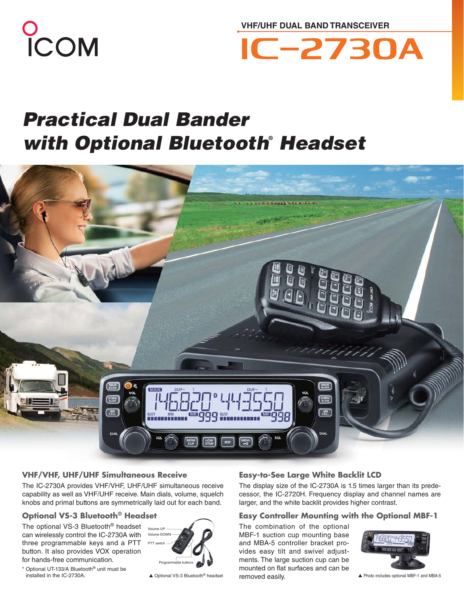

**VHF/UHF DUAL BAND TRANSCEIVER**



# *Practical Dual Bander with Optional Bluetooth***®**  *Headset*



# **VHF/VHF, UHF/UHF Simultaneous Receive**

The IC-2730A provides VHF/VHF, UHF/UHF simultaneous receive capability as well as VHF/UHF receive. Main dials, volume, squelch knobs and primal buttons are symmetrically laid out for each band.

# **Optional VS-3 Bluetooth® Headset**

The optional VS-3 Bluetooth® headset can wirelessly control the IC-2730A with three programmable keys and a PTT button. It also provides VOX operation for hands-free communication.



\* Optional UT-133/A Bluetooth® unit must be installed in the IC-2730A.

# **Easy-to-See Large White Backlit LCD**

The display size of the IC-2730A is 1.5 times larger than its predecessor, the IC-2720H. Frequency display and channel names are larger, and the white backlit provides higher contrast.

### **Easy Controller Mounting with the Optional MBF-1**

The combination of the optional MBF-1 suction cup mounting base and MBA-5 controller bracket provides easy tilt and swivel adjustments. The large suction cup can be mounted on flat surfaces and can be ▲ Optional VS-3 Bluetooth<sup>®</sup> headset **removed easily.** <br>▲ Photo includes optional MBF-1 and MBA-5